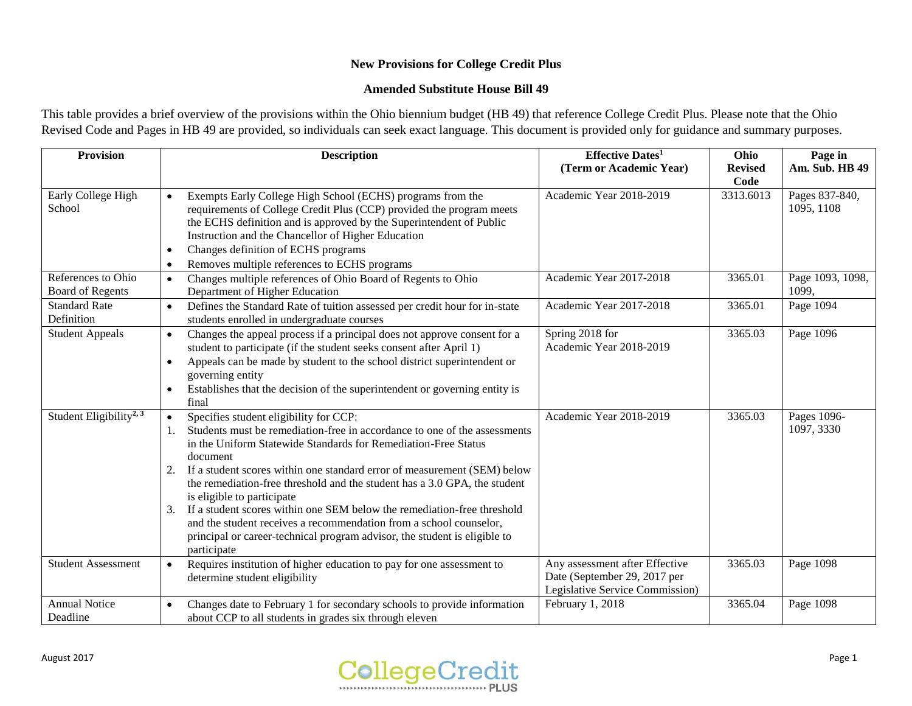## **New Provisions for College Credit Plus**

#### **Amended Substitute House Bill 49**

This table provides a brief overview of the provisions within the Ohio biennium budget (HB 49) that reference College Credit Plus. Please note that the Ohio Revised Code and Pages in HB 49 are provided, so individuals can seek exact language. This document is provided only for guidance and summary purposes.

| Provision                                     | <b>Description</b>                                                                                                                                                                                                                                                                                                                                                                                                                                                                                                                                                                                                                                | <b>Effective Dates1</b><br>(Term or Academic Year)                                                | Ohio<br><b>Revised</b> | Page in<br>Am. Sub. HB 49    |
|-----------------------------------------------|---------------------------------------------------------------------------------------------------------------------------------------------------------------------------------------------------------------------------------------------------------------------------------------------------------------------------------------------------------------------------------------------------------------------------------------------------------------------------------------------------------------------------------------------------------------------------------------------------------------------------------------------------|---------------------------------------------------------------------------------------------------|------------------------|------------------------------|
| Early College High<br>School                  | Exempts Early College High School (ECHS) programs from the<br>requirements of College Credit Plus (CCP) provided the program meets<br>the ECHS definition and is approved by the Superintendent of Public<br>Instruction and the Chancellor of Higher Education<br>Changes definition of ECHS programs<br>$\bullet$<br>Removes multiple references to ECHS programs<br>$\bullet$                                                                                                                                                                                                                                                                  | Academic Year 2018-2019                                                                           | Code<br>3313.6013      | Pages 837-840,<br>1095, 1108 |
| References to Ohio<br><b>Board of Regents</b> | Changes multiple references of Ohio Board of Regents to Ohio<br>$\bullet$<br>Department of Higher Education                                                                                                                                                                                                                                                                                                                                                                                                                                                                                                                                       | Academic Year 2017-2018                                                                           | 3365.01                | Page 1093, 1098,<br>1099,    |
| <b>Standard Rate</b><br>Definition            | Defines the Standard Rate of tuition assessed per credit hour for in-state<br>students enrolled in undergraduate courses                                                                                                                                                                                                                                                                                                                                                                                                                                                                                                                          | Academic Year 2017-2018                                                                           | 3365.01                | Page 1094                    |
| <b>Student Appeals</b>                        | Changes the appeal process if a principal does not approve consent for a<br>$\bullet$<br>student to participate (if the student seeks consent after April 1)<br>Appeals can be made by student to the school district superintendent or<br>$\bullet$<br>governing entity<br>Establishes that the decision of the superintendent or governing entity is<br>$\bullet$<br>final                                                                                                                                                                                                                                                                      | Spring 2018 for<br>Academic Year 2018-2019                                                        | 3365.03                | Page 1096                    |
| Student Eligibility <sup>2, 3</sup>           | Specifies student eligibility for CCP:<br>Students must be remediation-free in accordance to one of the assessments<br>in the Uniform Statewide Standards for Remediation-Free Status<br>document<br>If a student scores within one standard error of measurement (SEM) below<br>2.<br>the remediation-free threshold and the student has a 3.0 GPA, the student<br>is eligible to participate<br>If a student scores within one SEM below the remediation-free threshold<br>3.<br>and the student receives a recommendation from a school counselor,<br>principal or career-technical program advisor, the student is eligible to<br>participate | Academic Year 2018-2019                                                                           | 3365.03                | Pages 1096-<br>1097, 3330    |
| <b>Student Assessment</b>                     | Requires institution of higher education to pay for one assessment to<br>$\bullet$<br>determine student eligibility                                                                                                                                                                                                                                                                                                                                                                                                                                                                                                                               | Any assessment after Effective<br>Date (September 29, 2017 per<br>Legislative Service Commission) | 3365.03                | Page 1098                    |
| <b>Annual Notice</b><br>Deadline              | Changes date to February 1 for secondary schools to provide information<br>about CCP to all students in grades six through eleven                                                                                                                                                                                                                                                                                                                                                                                                                                                                                                                 | February 1, 2018                                                                                  | 3365.04                | Page 1098                    |

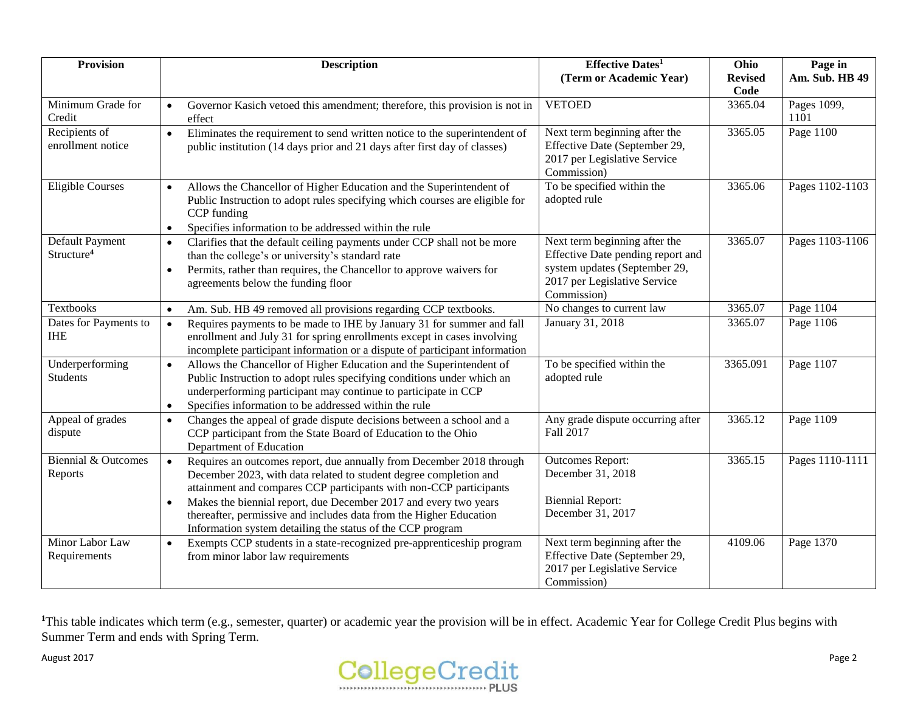| <b>Provision</b>                          | <b>Description</b>                                                                                                                                                                                                                                                                                                                                                                                                                                | <b>Effective Dates1</b>                                                                                                                            | Ohio                   | Page in               |
|-------------------------------------------|---------------------------------------------------------------------------------------------------------------------------------------------------------------------------------------------------------------------------------------------------------------------------------------------------------------------------------------------------------------------------------------------------------------------------------------------------|----------------------------------------------------------------------------------------------------------------------------------------------------|------------------------|-----------------------|
|                                           |                                                                                                                                                                                                                                                                                                                                                                                                                                                   | (Term or Academic Year)                                                                                                                            | <b>Revised</b><br>Code | <b>Am. Sub. HB 49</b> |
| Minimum Grade for<br>Credit               | Governor Kasich vetoed this amendment; therefore, this provision is not in<br>effect                                                                                                                                                                                                                                                                                                                                                              | <b>VETOED</b>                                                                                                                                      | 3365.04                | Pages 1099,<br>1101   |
| Recipients of<br>enrollment notice        | Eliminates the requirement to send written notice to the superintendent of<br>$\bullet$<br>public institution (14 days prior and 21 days after first day of classes)                                                                                                                                                                                                                                                                              | Next term beginning after the<br>Effective Date (September 29,<br>2017 per Legislative Service<br>Commission)                                      | 3365.05                | Page 1100             |
| Eligible Courses                          | Allows the Chancellor of Higher Education and the Superintendent of<br>$\bullet$<br>Public Instruction to adopt rules specifying which courses are eligible for<br>CCP funding<br>Specifies information to be addressed within the rule<br>$\bullet$                                                                                                                                                                                              | To be specified within the<br>adopted rule                                                                                                         | 3365.06                | Pages 1102-1103       |
| Default Payment<br>Structure <sup>4</sup> | Clarifies that the default ceiling payments under CCP shall not be more<br>$\bullet$<br>than the college's or university's standard rate<br>Permits, rather than requires, the Chancellor to approve waivers for<br>$\bullet$<br>agreements below the funding floor                                                                                                                                                                               | Next term beginning after the<br>Effective Date pending report and<br>system updates (September 29,<br>2017 per Legislative Service<br>Commission) | 3365.07                | Pages 1103-1106       |
| Textbooks                                 | Am. Sub. HB 49 removed all provisions regarding CCP textbooks.<br>$\bullet$                                                                                                                                                                                                                                                                                                                                                                       | No changes to current law                                                                                                                          | 3365.07                | Page 1104             |
| Dates for Payments to<br><b>IHE</b>       | Requires payments to be made to IHE by January 31 for summer and fall<br>$\bullet$<br>enrollment and July 31 for spring enrollments except in cases involving<br>incomplete participant information or a dispute of participant information                                                                                                                                                                                                       | January 31, 2018                                                                                                                                   | 3365.07                | Page 1106             |
| Underperforming<br><b>Students</b>        | Allows the Chancellor of Higher Education and the Superintendent of<br>$\bullet$<br>Public Instruction to adopt rules specifying conditions under which an<br>underperforming participant may continue to participate in CCP<br>Specifies information to be addressed within the rule<br>$\bullet$                                                                                                                                                | To be specified within the<br>adopted rule                                                                                                         | 3365.091               | Page 1107             |
| Appeal of grades<br>dispute               | Changes the appeal of grade dispute decisions between a school and a<br>$\bullet$<br>CCP participant from the State Board of Education to the Ohio<br>Department of Education                                                                                                                                                                                                                                                                     | Any grade dispute occurring after<br>Fall 2017                                                                                                     | 3365.12                | Page 1109             |
| Biennial & Outcomes<br>Reports            | Requires an outcomes report, due annually from December 2018 through<br>$\bullet$<br>December 2023, with data related to student degree completion and<br>attainment and compares CCP participants with non-CCP participants<br>Makes the biennial report, due December 2017 and every two years<br>$\bullet$<br>thereafter, permissive and includes data from the Higher Education<br>Information system detailing the status of the CCP program | <b>Outcomes Report:</b><br>December 31, 2018<br><b>Biennial Report:</b><br>December 31, 2017                                                       | 3365.15                | Pages 1110-1111       |
| Minor Labor Law<br>Requirements           | Exempts CCP students in a state-recognized pre-apprenticeship program<br>$\bullet$<br>from minor labor law requirements                                                                                                                                                                                                                                                                                                                           | Next term beginning after the<br>Effective Date (September 29,<br>2017 per Legislative Service<br>Commission)                                      | 4109.06                | Page 1370             |

<sup>1</sup>This table indicates which term (e.g., semester, quarter) or academic year the provision will be in effect. Academic Year for College Credit Plus begins with Summer Term and ends with Spring Term.

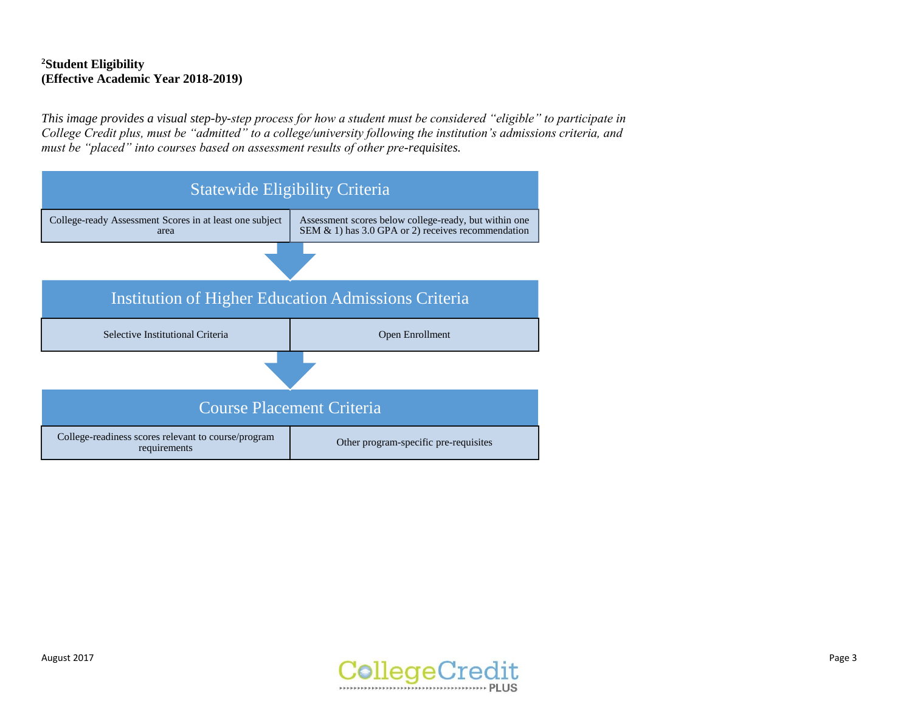# **<sup>2</sup>Student Eligibility (Effective Academic Year 2018-2019)**

*This image provides a visual step-by-step process for how a student must be considered "eligible" to participate in College Credit plus, must be "admitted" to a college/university following the institution's admissions criteria, and must be "placed" into courses based on assessment results of other pre-requisites.* 

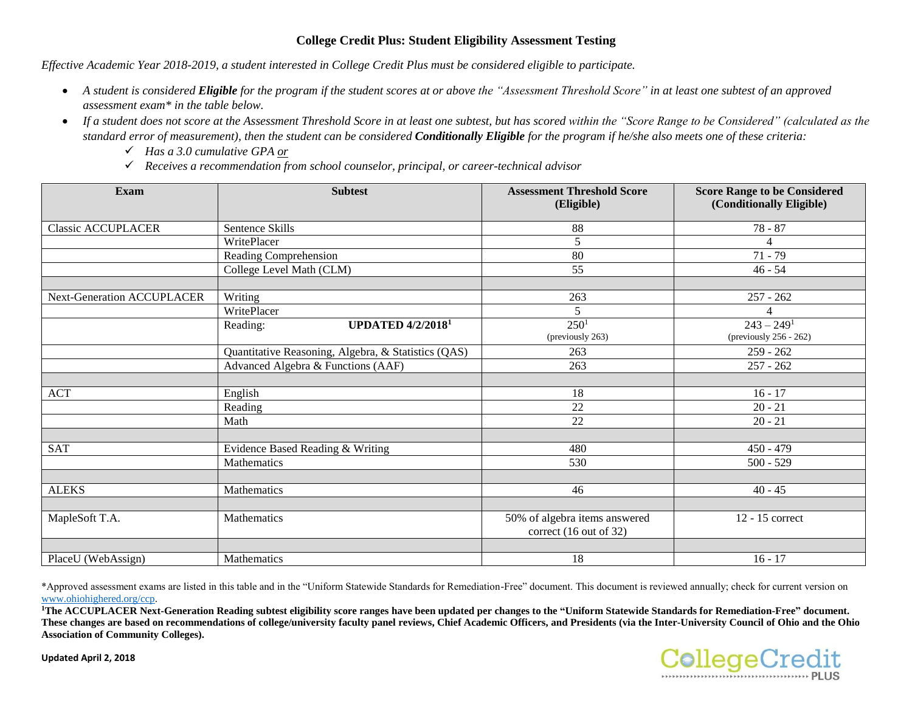### **College Credit Plus: Student Eligibility Assessment Testing**

*Effective Academic Year 2018-2019, a student interested in College Credit Plus must be considered eligible to participate.* 

- *A student is considered Eligible for the program if the student scores at or above the "Assessment Threshold Score" in at least one subtest of an approved assessment exam\* in the table below.*
- *If a student does not score at the Assessment Threshold Score in at least one subtest, but has scored within the "Score Range to be Considered" (calculated as the standard error of measurement), then the student can be considered Conditionally Eligible for the program if he/she also meets one of these criteria:*
	- *Has a 3.0 cumulative GPA or*
	- *Receives a recommendation from school counselor, principal, or career-technical advisor*

| <b>Exam</b>                       | <b>Subtest</b>                                      | <b>Assessment Threshold Score</b><br>(Eligible)         | <b>Score Range to be Considered</b><br>(Conditionally Eligible) |
|-----------------------------------|-----------------------------------------------------|---------------------------------------------------------|-----------------------------------------------------------------|
| <b>Classic ACCUPLACER</b>         | Sentence Skills                                     | 88                                                      | $78 - 87$                                                       |
|                                   | WritePlacer                                         | 5                                                       | 4                                                               |
|                                   | Reading Comprehension                               | 80                                                      | $71 - 79$                                                       |
|                                   | College Level Math (CLM)                            | 55                                                      | $46 - 54$                                                       |
| <b>Next-Generation ACCUPLACER</b> | Writing                                             | 263                                                     | $257 - 262$                                                     |
|                                   | WritePlacer                                         | 5                                                       |                                                                 |
|                                   | <b>UPDATED 4/2/2018<sup>1</sup></b><br>Reading:     | 250 <sup>1</sup><br>(previously 263)                    | $243 - 249$ <sup>1</sup><br>(previously $256 - 262$ )           |
|                                   | Quantitative Reasoning, Algebra, & Statistics (QAS) | 263                                                     | $259 - 262$                                                     |
|                                   | Advanced Algebra & Functions (AAF)                  | 263                                                     | $257 - 262$                                                     |
| <b>ACT</b>                        | English                                             | 18                                                      | $16 - 17$                                                       |
|                                   | Reading                                             | 22                                                      | $20 - 21$                                                       |
|                                   | Math                                                | 22                                                      | $20 - 21$                                                       |
|                                   |                                                     |                                                         |                                                                 |
| <b>SAT</b>                        | Evidence Based Reading & Writing                    | 480                                                     | $450 - 479$                                                     |
|                                   | Mathematics                                         | 530                                                     | $500 - 529$                                                     |
| <b>ALEKS</b>                      | Mathematics                                         | 46                                                      | $40 - 45$                                                       |
|                                   |                                                     |                                                         |                                                                 |
| MapleSoft T.A.                    | Mathematics                                         | 50% of algebra items answered<br>correct (16 out of 32) | 12 - 15 correct                                                 |
|                                   |                                                     |                                                         |                                                                 |
| PlaceU (WebAssign)                | Mathematics                                         | 18                                                      | $16 - 17$                                                       |

\*Approved assessment exams are listed in this table an[d in the "Uniform Statewide Standa](http://www.ohiohighered.org/ccp)rds for Remediation-Free" document. This document is reviewed annually; check for current version on www.ohiohighered.org/ccp.

**<sup>1</sup>The ACCUPLACER Next-Generation Reading subtest eligibility score ranges have been updated per changes to the "Uniform Statewide Standards for Remediation-Free" document.**  These changes are based on recommendations of college/university faculty panel reviews, Chief Academic Officers, and Presidents (via the Inter-University Council of Ohio and the Ohio **Association of Community Colleges).**